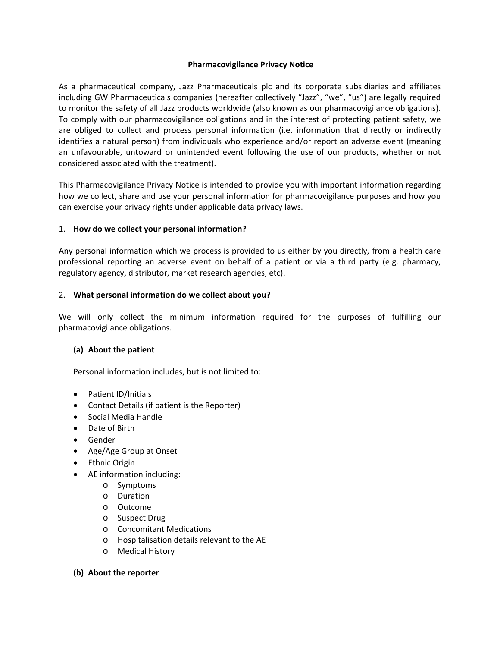### **Pharmacovigilance Privacy Notice**

As a pharmaceutical company, Jazz Pharmaceuticals plc and its corporate subsidiaries and affiliates including GW Pharmaceuticals companies (hereafter collectively "Jazz", "we", "us") are legally required to monitor the safety of all Jazz products worldwide (also known as our pharmacovigilance obligations). To comply with our pharmacovigilance obligations and in the interest of protecting patient safety, we are obliged to collect and process personal information (i.e. information that directly or indirectly identifies a natural person) from individuals who experience and/or report an adverse event (meaning an unfavourable, untoward or unintended event following the use of our products, whether or not considered associated with the treatment).

This Pharmacovigilance Privacy Notice is intended to provide you with important information regarding how we collect, share and use your personal information for pharmacovigilance purposes and how you can exercise your privacy rights under applicable data privacy laws.

## 1. **How do we collect your personal information?**

Any personal information which we process is provided to us either by you directly, from a health care professional reporting an adverse event on behalf of a patient or via a third party (e.g. pharmacy, regulatory agency, distributor, market research agencies, etc).

## 2. **What personal information do we collect about you?**

We will only collect the minimum information required for the purposes of fulfilling our pharmacovigilance obligations.

### **(a) About the patient**

Personal information includes, but is not limited to:

- Patient ID/Initials
- Contact Details (if patient is the Reporter)
- Social Media Handle
- Date of Birth
- Gender
- Age/Age Group at Onset
- Ethnic Origin
- AE information including:
	- o Symptoms
	- o Duration
	- o Outcome
	- o Suspect Drug
	- o Concomitant Medications
	- o Hospitalisation details relevant to the AE
	- o Medical History

### **(b) About the reporter**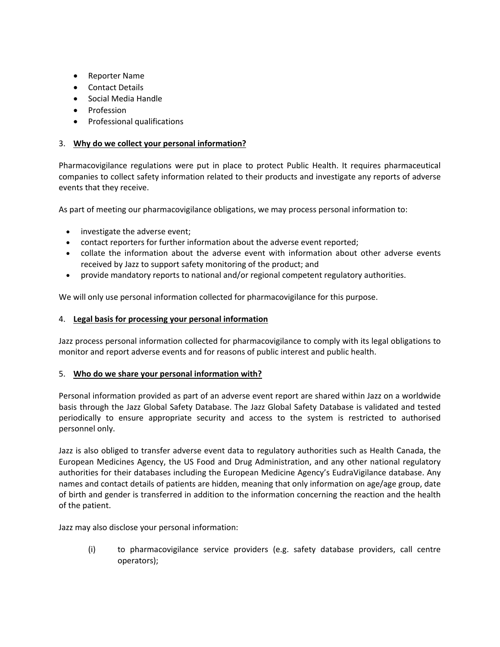- Reporter Name
- Contact Details
- Social Media Handle
- Profession
- Professional qualifications

# 3. **Why do we collect your personal information?**

Pharmacovigilance regulations were put in place to protect Public Health. It requires pharmaceutical companies to collect safety information related to their products and investigate any reports of adverse events that they receive.

As part of meeting our pharmacovigilance obligations, we may process personal information to:

- investigate the adverse event;
- contact reporters for further information about the adverse event reported;
- collate the information about the adverse event with information about other adverse events received by Jazz to support safety monitoring of the product; and
- provide mandatory reports to national and/or regional competent regulatory authorities.

We will only use personal information collected for pharmacovigilance for this purpose.

### 4. **Legal basis for processing your personal information**

Jazz process personal information collected for pharmacovigilance to comply with its legal obligations to monitor and report adverse events and for reasons of public interest and public health.

### 5. **Who do we share your personal information with?**

Personal information provided as part of an adverse event report are shared within Jazz on a worldwide basis through the Jazz Global Safety Database. The Jazz Global Safety Database is validated and tested periodically to ensure appropriate security and access to the system is restricted to authorised personnel only.

Jazz is also obliged to transfer adverse event data to regulatory authorities such as Health Canada, the European Medicines Agency, the US Food and Drug Administration, and any other national regulatory authorities for their databases including the European Medicine Agency's EudraVigilance database. Any names and contact details of patients are hidden, meaning that only information on age/age group, date of birth and gender is transferred in addition to the information concerning the reaction and the health of the patient.

Jazz may also disclose your personal information:

(i) to pharmacovigilance service providers (e.g. safety database providers, call centre operators);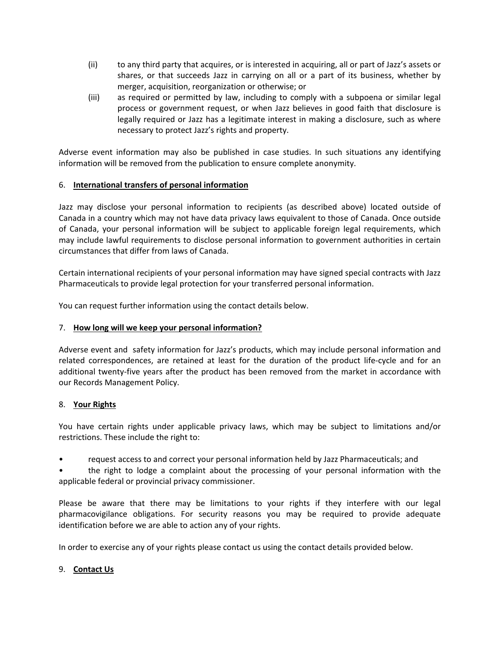- (ii) to any third party that acquires, or is interested in acquiring, all or part of Jazz's assets or shares, or that succeeds Jazz in carrying on all or a part of its business, whether by merger, acquisition, reorganization or otherwise; or
- (iii) as required or permitted by law, including to comply with a subpoena or similar legal process or government request, or when Jazz believes in good faith that disclosure is legally required or Jazz has a legitimate interest in making a disclosure, such as where necessary to protect Jazz's rights and property.

Adverse event information may also be published in case studies. In such situations any identifying information will be removed from the publication to ensure complete anonymity.

## 6. **International transfers of personal information**

Jazz may disclose your personal information to recipients (as described above) located outside of Canada in a country which may not have data privacy laws equivalent to those of Canada. Once outside of Canada, your personal information will be subject to applicable foreign legal requirements, which may include lawful requirements to disclose personal information to government authorities in certain circumstances that differ from laws of Canada.

Certain international recipients of your personal information may have signed special contracts with Jazz Pharmaceuticals to provide legal protection for your transferred personal information.

You can request further information using the contact details below.

# 7. **How long will we keep your personal information?**

Adverse event and safety information for Jazz's products, which may include personal information and related correspondences, are retained at least for the duration of the product life-cycle and for an additional twenty-five years after the product has been removed from the market in accordance with our Records Management Policy.

### 8. **Your Rights**

You have certain rights under applicable privacy laws, which may be subject to limitations and/or restrictions. These include the right to:

• request access to and correct your personal information held by Jazz Pharmaceuticals; and

• the right to lodge a complaint about the processing of your personal information with the applicable federal or provincial privacy commissioner.

Please be aware that there may be limitations to your rights if they interfere with our legal pharmacovigilance obligations. For security reasons you may be required to provide adequate identification before we are able to action any of your rights.

In order to exercise any of your rights please contact us using the contact details provided below.

### 9. **Contact Us**